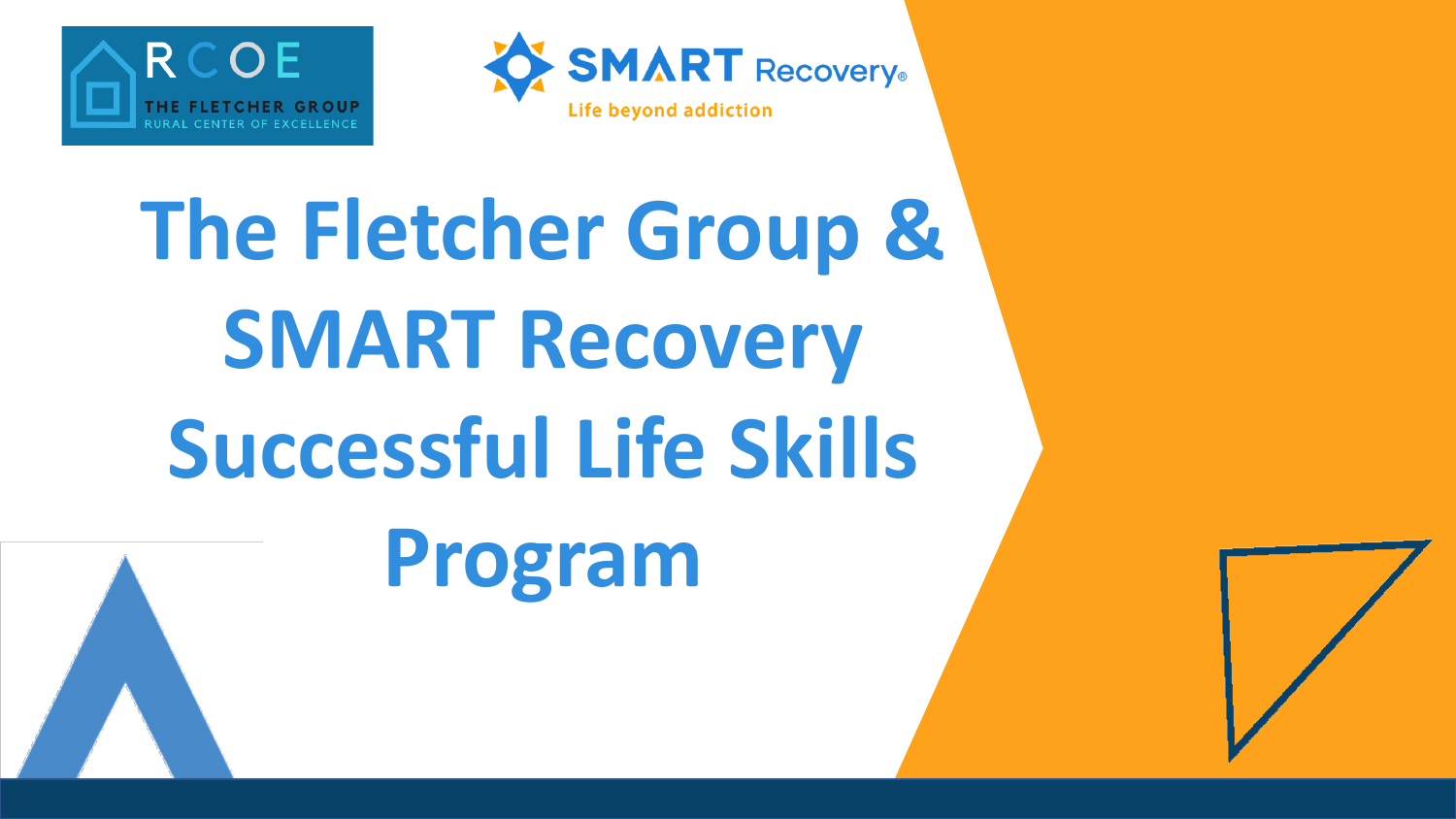



## **The Fletcher Group & SMART Recovery Successful Life Skills**



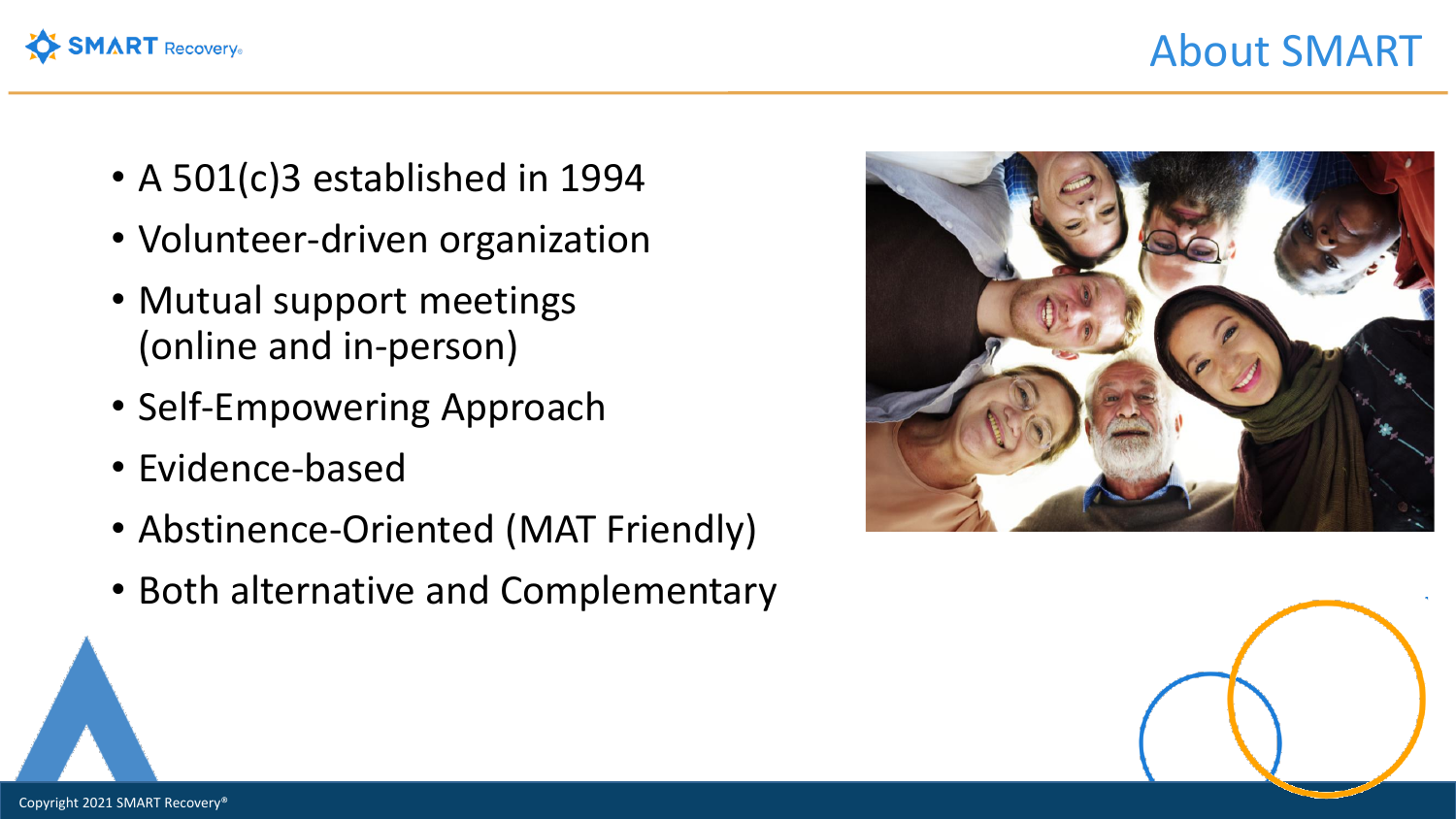

- A 501(c)3 established in 1994
- Volunteer-driven organization
- Mutual support meetings (online and in-person)
- Self-Empowering Approach
- Evidence-based
- Abstinence-Oriented (MAT Friendly)
- Both alternative and Complementary



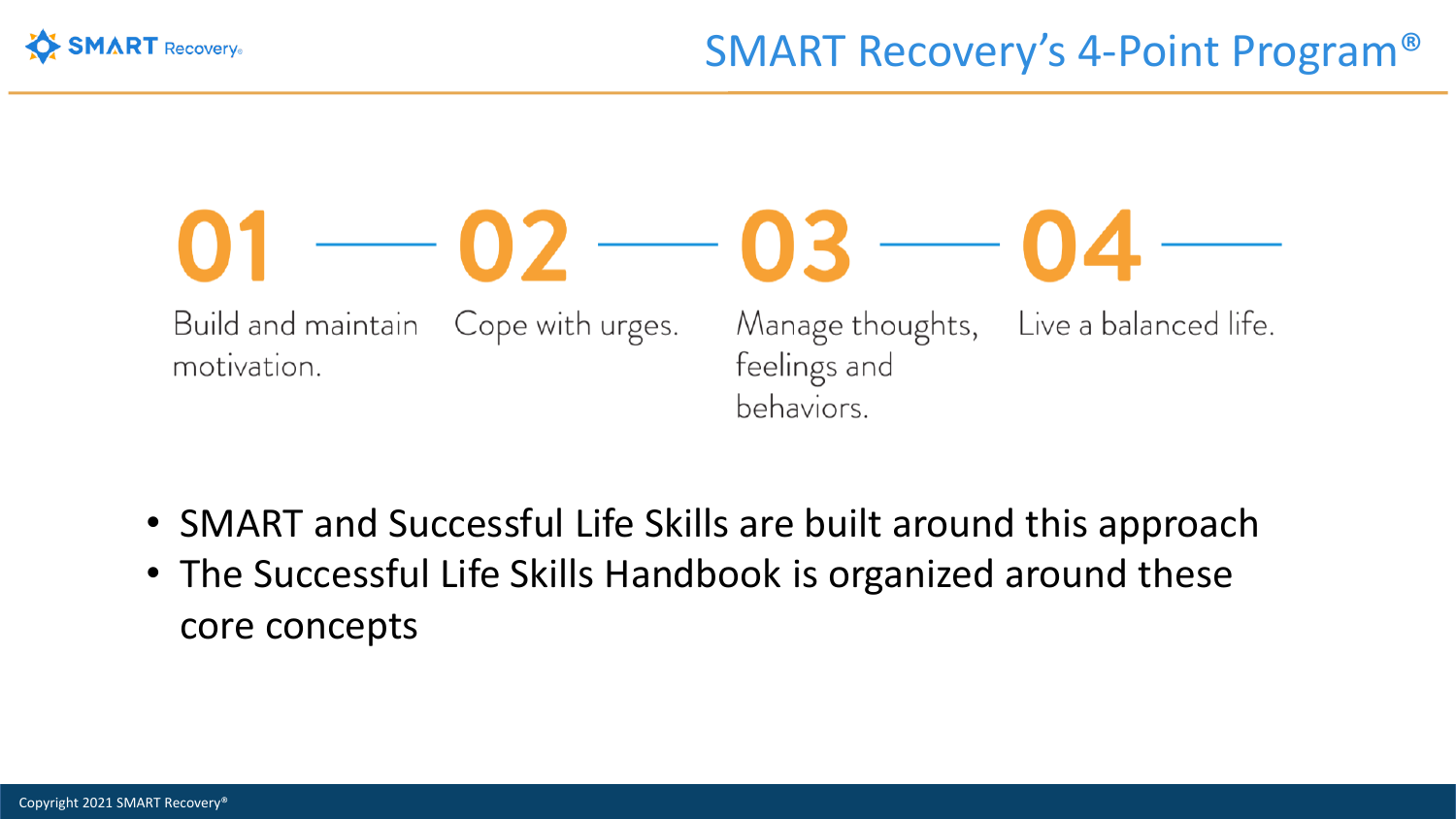

## $-02 - 03 - 0$ Live a balanced life. Build and maintain Cope with urges. Manage thoughts, feelings and motivation. behaviors.

- SMART and Successful Life Skills are built around this approach
- The Successful Life Skills Handbook is organized around these core concepts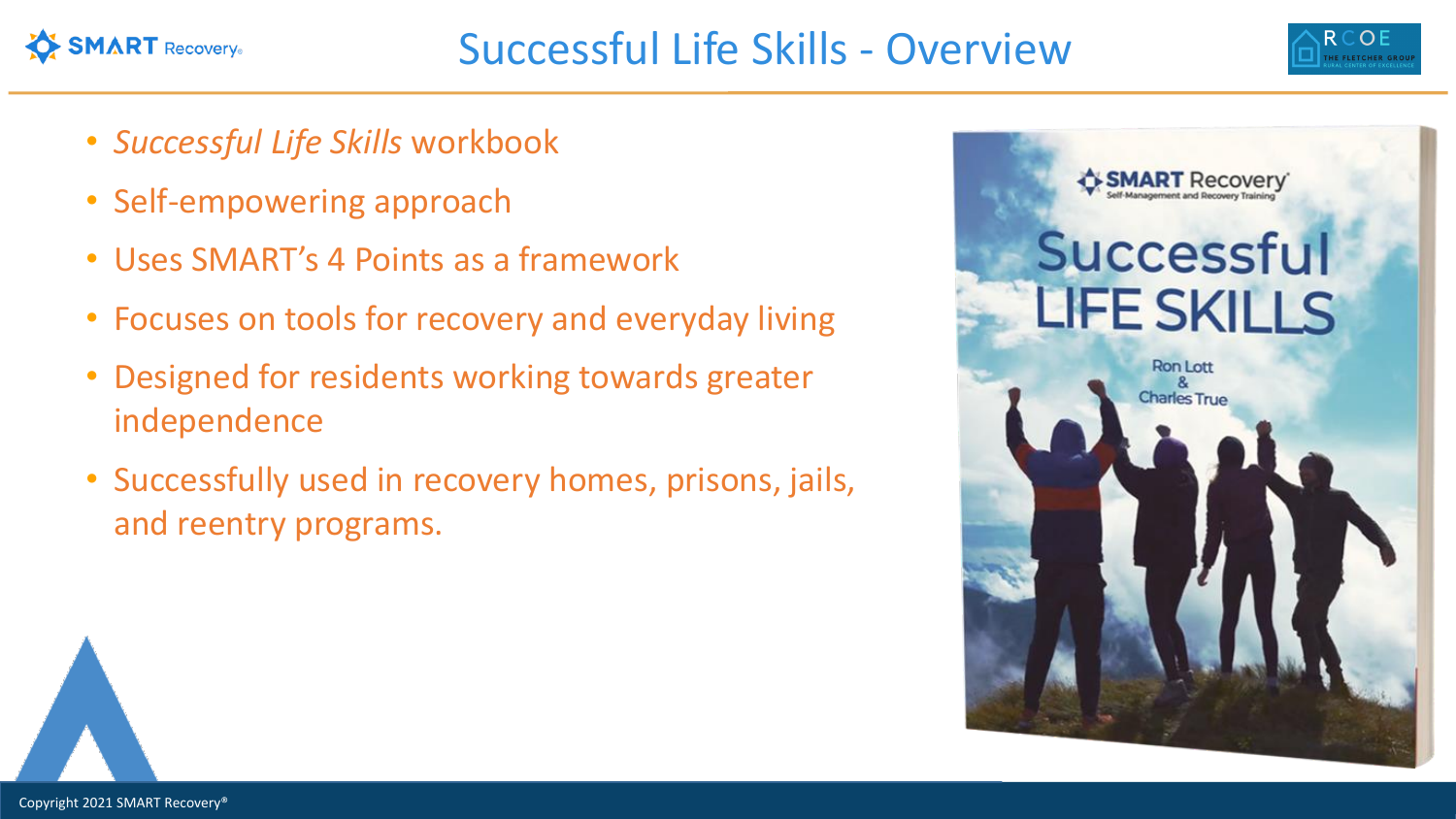



- *Successful Life Skills* workbook
- Self-empowering approach
- Uses SMART's 4 Points as a framework
- Focuses on tools for recovery and everyday living
- Designed for residents working towards greater independence
- Successfully used in recovery homes, prisons, jails, and reentry programs.

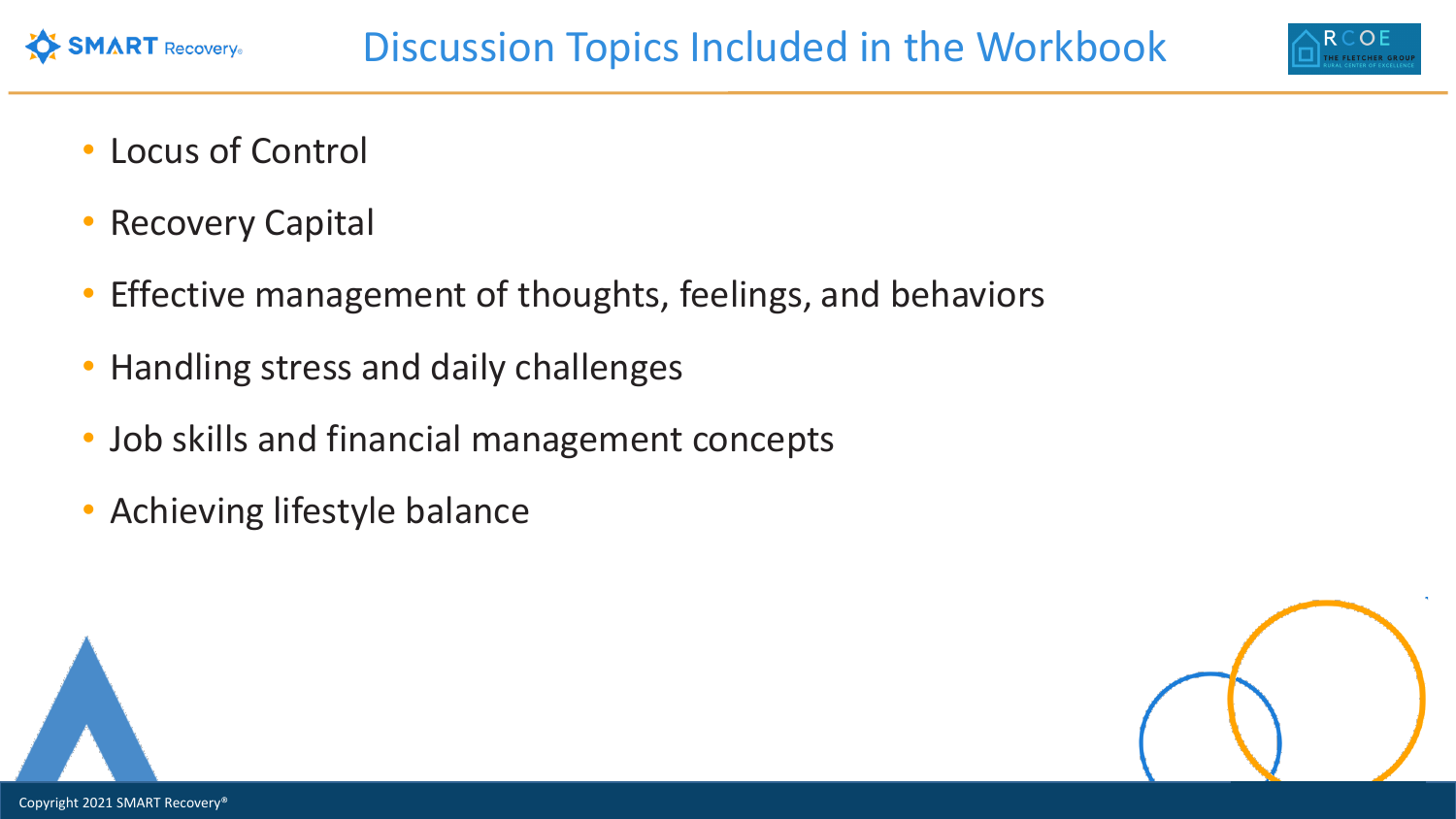

• Locus of Control

**SMART** Recovery®

- Recovery Capital
- Effective management of thoughts, feelings, and behaviors
- Handling stress and daily challenges
- Job skills and financial management concepts
- Achieving lifestyle balance



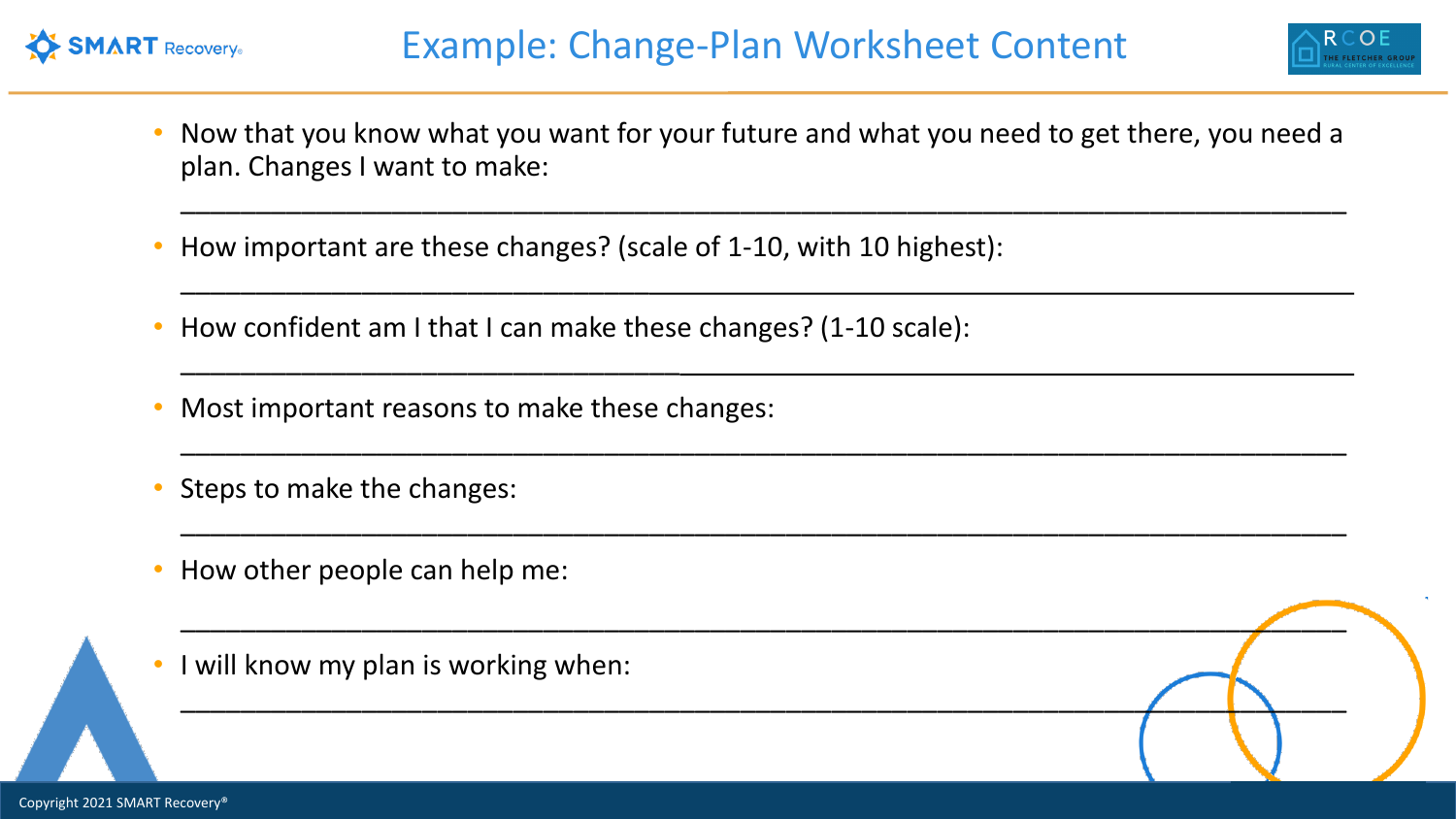



• Now that you know what you want for your future and what you need to get there, you need a plan. Changes I want to make:

\_\_\_\_\_\_\_\_\_\_\_\_\_\_\_\_\_\_\_\_\_\_\_\_\_\_\_\_\_\_\_\_\_\_\_\_\_\_\_\_\_\_\_\_\_\_\_\_\_\_\_\_\_\_\_\_\_\_\_\_\_\_\_\_\_\_\_\_\_\_\_\_\_\_\_\_\_

\_\_\_\_\_\_\_\_\_\_\_\_\_\_\_\_\_\_\_\_\_\_\_\_\_\_\_\_\_\_\_\_\_\_\_\_\_\_\_\_\_\_\_\_\_\_\_\_\_\_\_\_\_\_\_\_\_\_\_\_\_\_\_\_\_\_\_\_\_\_\_\_\_\_\_\_\_

\_\_\_\_\_\_\_\_\_\_\_\_\_\_\_\_\_\_\_\_\_\_\_\_\_\_\_\_\_\_\_\_\_\_\_\_\_\_\_\_\_\_\_\_\_\_\_\_\_\_\_\_\_\_\_\_\_\_\_\_\_\_\_\_\_\_\_\_\_\_\_\_\_\_\_\_\_

\_\_\_\_\_\_\_\_\_\_\_\_\_\_\_\_\_\_\_\_\_\_\_\_\_\_\_\_\_\_\_\_\_\_\_\_\_\_\_\_\_\_\_\_\_\_\_\_\_\_\_\_\_\_\_\_\_\_\_\_\_\_\_\_\_\_\_\_\_\_\_\_\_\_\_\_\_

\_\_\_\_\_\_\_\_\_\_\_\_\_\_\_\_\_\_\_\_\_\_\_\_\_\_\_\_\_\_\_\_\_\_\_\_\_\_\_\_\_\_\_\_\_\_\_\_\_\_\_\_\_\_\_\_\_\_\_\_\_\_\_\_\_\_\_\_\_\_\_\_\_\_\_\_\_

- How important are these changes? (scale of 1-10, with 10 highest):
- How confident am I that I can make these changes? (1-10 scale):
- Most important reasons to make these changes:

\_\_\_\_\_\_\_\_\_\_\_\_\_\_\_\_\_\_\_\_\_\_\_\_\_\_\_\_\_\_\_

\_\_\_\_\_\_\_\_\_\_\_\_\_\_\_\_\_\_\_\_\_\_\_\_\_\_\_\_\_\_\_\_\_

- Steps to make the changes:
- How other people can help me:
- I will know my plan is working when: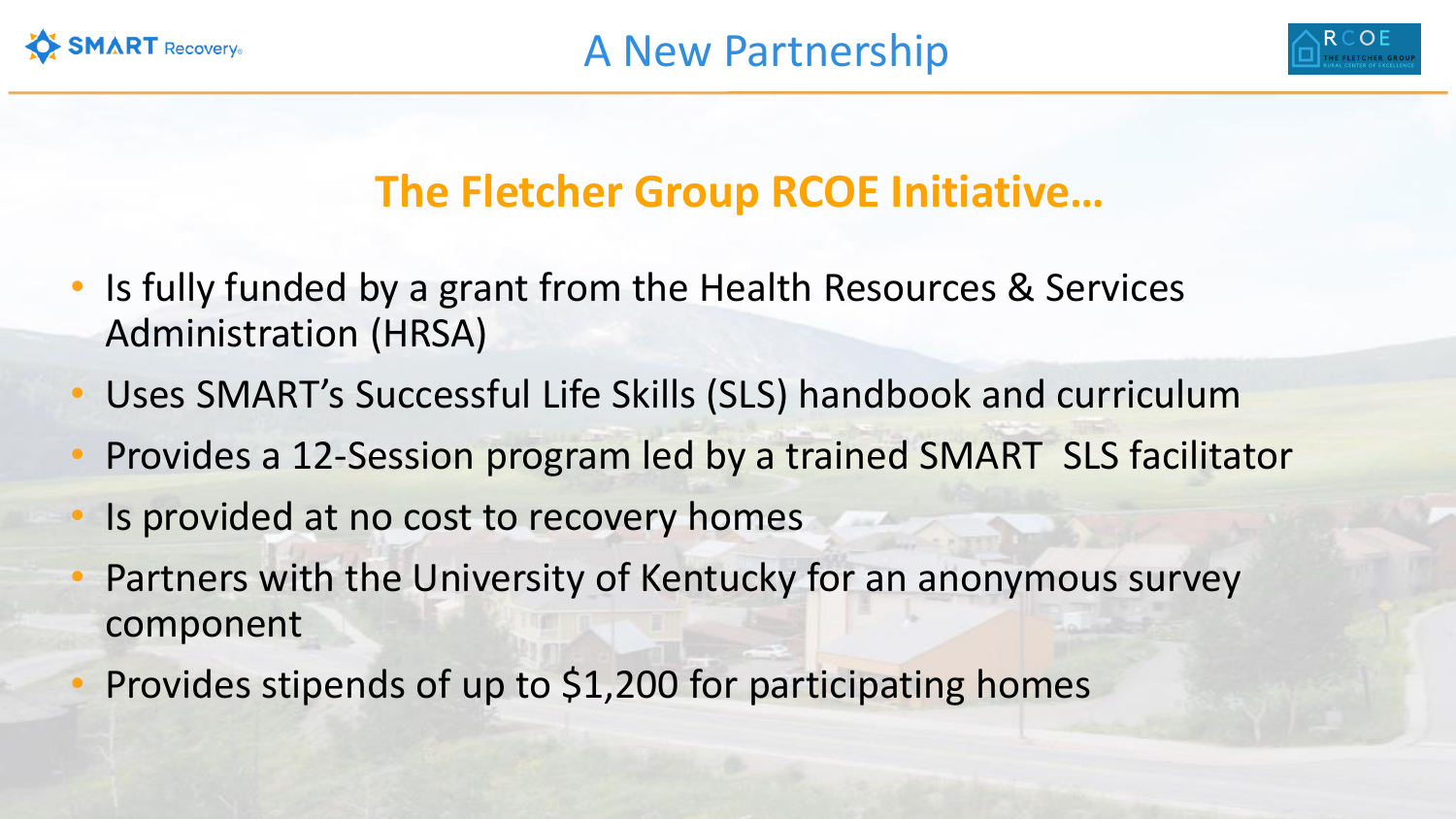



## **The Fletcher Group RCOE Initiative…**

- Is fully funded by a grant from the Health Resources & Services Administration (HRSA)
- Uses SMART's Successful Life Skills (SLS) handbook and curriculum
- Provides a 12-Session program led by a trained SMART SLS facilitator
- Is provided at no cost to recovery homes
- Partners with the University of Kentucky for an anonymous survey component
- Provides stipends of up to \$1,200 for participating homes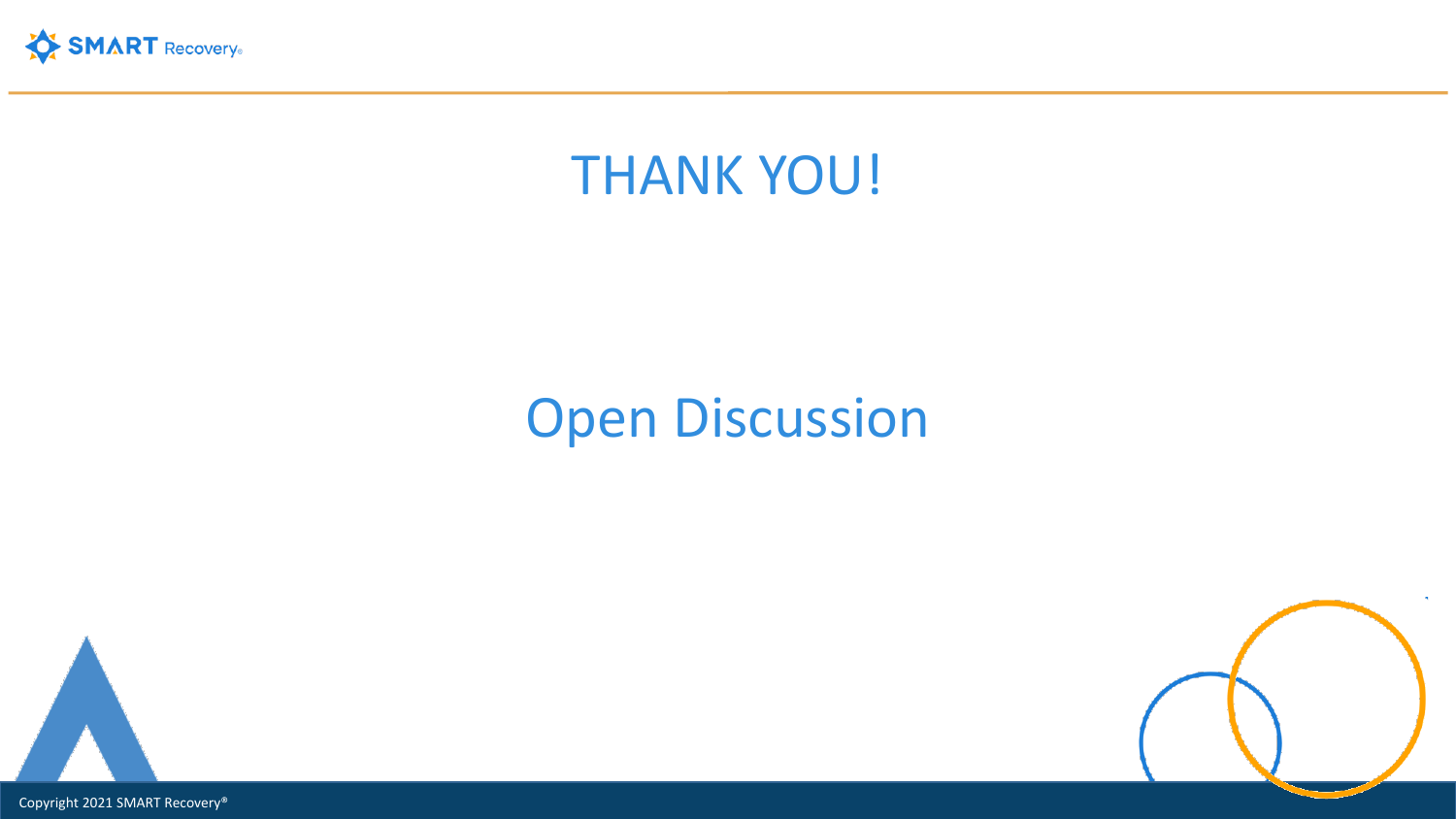



## **Open Discussion**